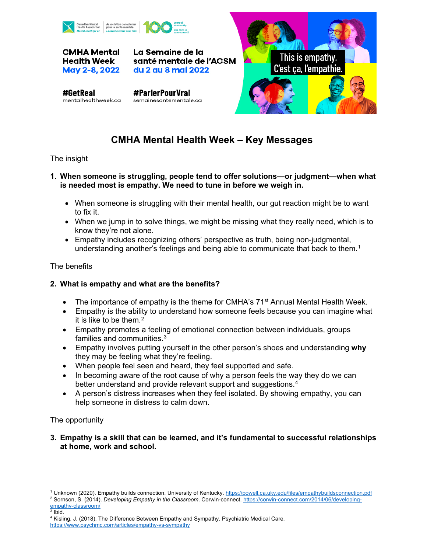

**CMHA Mental** Health Week May 2-8, 2022

La Semaine de la santé mentale de l'ACSM du 2 au 8 mai 2022

#GetReal mentalhealthweek.ca

#ParlerPourVrai semainesantementale.ca



# **CMHA Mental Health Week – Key Messages**

## The insight

#### **1. When someone is struggling, people tend to offer solutions—or judgment—when what is needed most is empathy. We need to tune in before we weigh in.**

- When someone is struggling with their mental health, our gut reaction might be to want to fix it.
- When we jump in to solve things, we might be missing what they really need, which is to know they're not alone.
- Empathy includes recognizing others' perspective as truth, being non-judgmental, understanding another's feelings and being able to communicate that back to them.<sup>[1](#page-0-0)</sup>

## The benefits

## **2. What is empathy and what are the benefits?**

- The importance of empathy is the theme for CMHA's  $71<sup>st</sup>$  Annual Mental Health Week.
- Empathy is the ability to understand how someone feels because you can imagine what it is like to be them.<sup>[2](#page-0-1)</sup>
- Empathy promotes a feeling of emotional connection between individuals, groups families and communities.<sup>[3](#page-0-2)</sup>
- Empathy involves putting yourself in the other person's shoes and understanding **why** they may be feeling what they're feeling.
- When people feel seen and heard, they feel supported and safe.
- In becoming aware of the root cause of why a person feels the way they do we can better understand and provide relevant support and suggestions.<sup>[4](#page-0-3)</sup>
- A person's distress increases when they feel isolated. By showing empathy, you can help someone in distress to calm down.

## The opportunity

**3. Empathy is a skill that can be learned, and it's fundamental to successful relationships at home, work and school.**

<sup>1</sup> Unknown (2020). Empathy builds connection. University of Kentucky.<https://powell.ca.uky.edu/files/empathybuildsconnection.pdf>

<span id="page-0-1"></span><span id="page-0-0"></span><sup>&</sup>lt;sup>2</sup> Sornson, S. (2014). *Developing Empathy in the Classroom.* Corwin-connect. [https://corwin-connect.com/2014/06/developing](https://corwin-connect.com/2014/06/developing-empathy-classroom/)[empathy-classroom/](https://corwin-connect.com/2014/06/developing-empathy-classroom/)

<span id="page-0-3"></span><span id="page-0-2"></span> $3$  Ibid. <sup>4</sup> Kisling, J. (2018). The Difference Between Empathy and Sympathy. Psychiatric Medical Care. <https://www.psychmc.com/articles/empathy-vs-sympathy>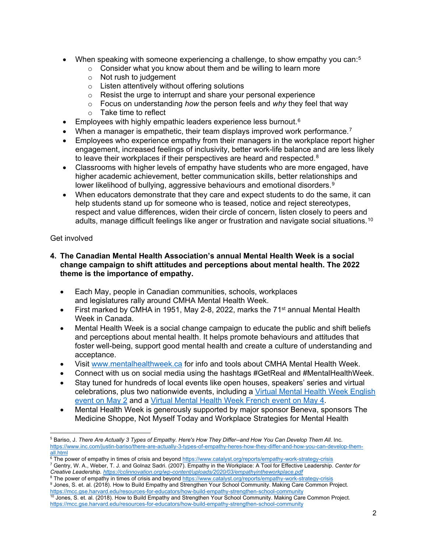- When speaking with someone experiencing a challenge, to show empathy you can: $5$ 
	- $\circ$  Consider what you know about them and be willing to learn more
	- o Not rush to judgement
	- o Listen attentively without offering solutions
	- $\circ$  Resist the urge to interrupt and share your personal experience
	- o Focus on understanding *how* the person feels and *why* they feel that way
	- o Take time to reflect
- Employees with highly empathic leaders experience less burnout.<sup>[6](#page-1-1)</sup>
- When a manager is empathetic, their team displays improved work performance.<sup>[7](#page-1-2)</sup>
- Employees who experience empathy from their managers in the workplace report higher engagement, increased feelings of inclusivity, better work-life balance and are less likely to leave their workplaces if their perspectives are heard and respected.<sup>[8](#page-1-3)</sup>
- Classrooms with higher levels of empathy have students who are more engaged, have higher academic achievement, better communication skills, better relationships and lower likelihood of bullying, aggressive behaviours and emotional disorders.<sup>[9](#page-1-4)</sup>
- When educators demonstrate that they care and expect students to do the same, it can help students stand up for someone who is teased, notice and reject stereotypes, respect and value differences, widen their circle of concern, listen closely to peers and adults, manage difficult feelings like anger or frustration and navigate social situations.<sup>[10](#page-1-5)</sup>

#### Get involved

#### **4. The Canadian Mental Health Association's annual Mental Health Week is a social change campaign to shift attitudes and perceptions about mental health. The 2022 theme is the importance of empathy.**

- Each May, people in Canadian communities, schools, workplaces and legislatures rally around CMHA Mental Health Week.
- First marked by CMHA in 1951, May 2-8, 2022, marks the 71<sup>st</sup> annual Mental Health Week in Canada.
- Mental Health Week is a social change campaign to educate the public and shift beliefs and perceptions about mental health. It helps promote behaviours and attitudes that foster well-being, support good mental health and create a culture of understanding and acceptance.
- Visit [www.mentalhealthweek.ca](http://www.mentalhealthweek.ca/) for info and tools about CMHA Mental Health Week.
- Connect with us on social media using the hashtags #GetReal and #MentalHealthWeek.
- Stay tuned for hundreds of local events like open houses, speakers' series and virtual celebrations, plus two nationwide events, including a Virtual Mental Health Week English [event on May 2](https://cmha.ca/exploring-empathy/) and a Virtual [Mental Health Week French event on May 4.](https://cmha.ca/fr/celebrez-l-empathie/)
- Mental Health Week is generously supported by major sponsor Beneva, sponsors The Medicine Shoppe, Not Myself Today and Workplace Strategies for Mental Health

<span id="page-1-0"></span><sup>5</sup> Bariso, J. *There Are Actually 3 Types of Empathy. Here's How They Differ--and How You Can Develop Them All*. Inc. [https://www.inc.com/justin-bariso/there-are-actually-3-types-of-empathy-heres-how-they-differ-and-how-you-can-develop-them](https://www.inc.com/justin-bariso/there-are-actually-3-types-of-empathy-heres-how-they-differ-and-how-you-can-develop-them-all.html)[all.html](https://www.inc.com/justin-bariso/there-are-actually-3-types-of-empathy-heres-how-they-differ-and-how-you-can-develop-them-all.html)

<span id="page-1-1"></span><sup>&</sup>lt;sup>6</sup> The power of empathy in times of crisis and beyond <https://www.catalyst.org/reports/empathy-work-strategy-crisis>

<span id="page-1-2"></span><sup>7</sup> Gentry, W. A., Weber, T. J. and Golnaz Sadri. (2007). Empathy in the Workplace: A Tool for Effective Leadership. *Center for Creative Leadership.<https://cclinnovation.org/wp-content/uploads/2020/03/empathyintheworkplace.pdf>*

<span id="page-1-4"></span><span id="page-1-3"></span><sup>&</sup>lt;sup>8</sup> The power of empathy in times of crisis and beyond<https://www.catalyst.org/reports/empathy-work-strategy-crisis> <sup>9</sup> Jones, S. et. al. (2018). How to Build Empathy and Strengthen Your School Community. Making Care Common Project.

<span id="page-1-5"></span><https://mcc.gse.harvard.edu/resources-for-educators/how-build-empathy-strengthen-school-community>  $^{\rm 10}$  Jones, S. et. al. (2018). How to Build Empathy and Strengthen Your School Community. Making Care Common Project. <https://mcc.gse.harvard.edu/resources-for-educators/how-build-empathy-strengthen-school-community>